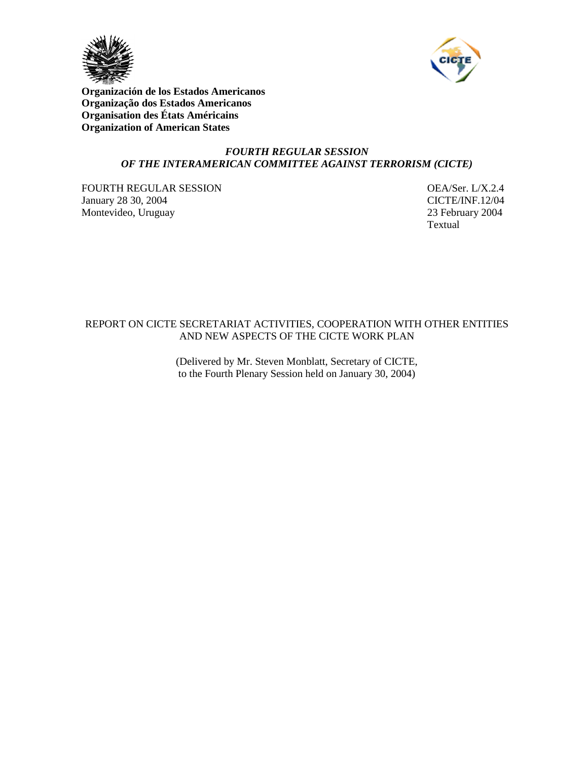



**Organización de los Estados Americanos Organização dos Estados Americanos Organisation des États Américains Organization of American States**

## *FOURTH REGULAR SESSION OF THE INTERAMERICAN COMMITTEE AGAINST TERRORISM (CICTE)*

FOURTH REGULAR SESSION OEA/Ser. L/X.2.4 January 28 30, 2004 CICTE/INF.12/04 Montevideo, Uruguay 23 February 2004

Textual

## REPORT ON CICTE SECRETARIAT ACTIVITIES, COOPERATION WITH OTHER ENTITIES AND NEW ASPECTS OF THE CICTE WORK PLAN

(Delivered by Mr. Steven Monblatt, Secretary of CICTE, to the Fourth Plenary Session held on January 30, 2004)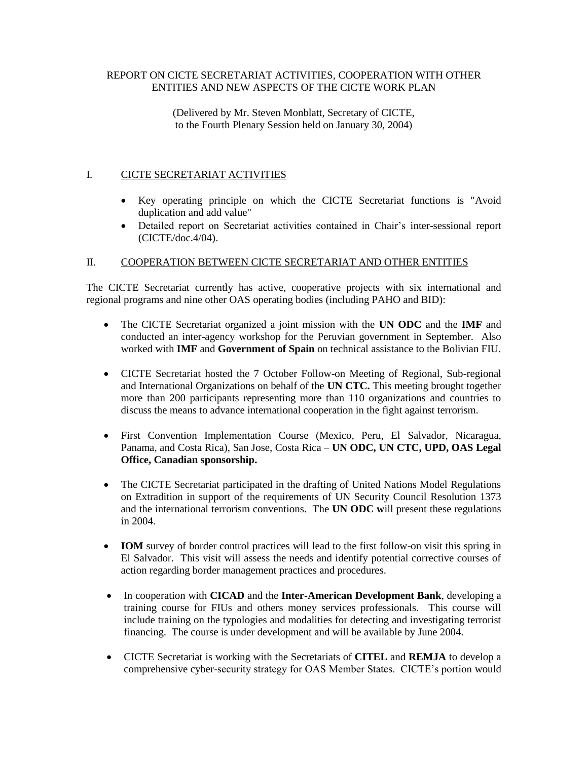## REPORT ON CICTE SECRETARIAT ACTIVITIES, COOPERATION WITH OTHER ENTITIES AND NEW ASPECTS OF THE CICTE WORK PLAN

(Delivered by Mr. Steven Monblatt, Secretary of CICTE, to the Fourth Plenary Session held on January 30, 2004)

# I. CICTE SECRETARIAT ACTIVITIES

- Key operating principle on which the CICTE Secretariat functions is "Avoid duplication and add value"
- Detailed report on Secretariat activities contained in Chair's inter-sessional report (CICTE/doc.4/04).

## II. COOPERATION BETWEEN CICTE SECRETARIAT AND OTHER ENTITIES

The CICTE Secretariat currently has active, cooperative projects with six international and regional programs and nine other OAS operating bodies (including PAHO and BID):

- The CICTE Secretariat organized a joint mission with the **UN ODC** and the **IMF** and conducted an inter-agency workshop for the Peruvian government in September. Also worked with **IMF** and **Government of Spain** on technical assistance to the Bolivian FIU.
- CICTE Secretariat hosted the 7 October Follow-on Meeting of Regional, Sub-regional and International Organizations on behalf of the **UN CTC.** This meeting brought together more than 200 participants representing more than 110 organizations and countries to discuss the means to advance international cooperation in the fight against terrorism.
- First Convention Implementation Course (Mexico, Peru, El Salvador, Nicaragua, Panama, and Costa Rica), San Jose, Costa Rica – **UN ODC, UN CTC, UPD, OAS Legal Office, Canadian sponsorship.**
- The CICTE Secretariat participated in the drafting of United Nations Model Regulations on Extradition in support of the requirements of UN Security Council Resolution 1373 and the international terrorism conventions. The **UN ODC w**ill present these regulations in 2004.
- **IOM** survey of border control practices will lead to the first follow-on visit this spring in El Salvador. This visit will assess the needs and identify potential corrective courses of action regarding border management practices and procedures.
- In cooperation with **CICAD** and the **Inter-American Development Bank**, developing a training course for FIUs and others money services professionals. This course will include training on the typologies and modalities for detecting and investigating terrorist financing. The course is under development and will be available by June 2004.
- CICTE Secretariat is working with the Secretariats of **CITEL** and **REMJA** to develop a comprehensive cyber-security strategy for OAS Member States. CICTE's portion would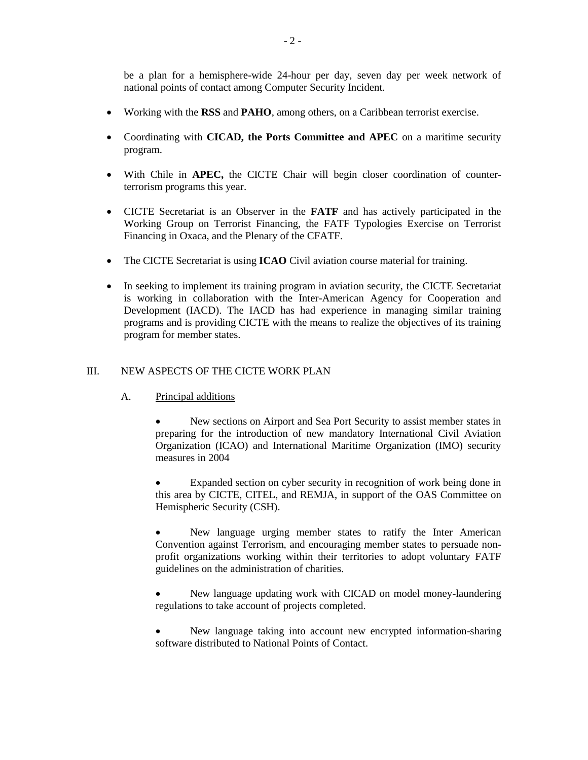be a plan for a hemisphere-wide 24-hour per day, seven day per week network of national points of contact among Computer Security Incident.

- Working with the **RSS** and **PAHO**, among others, on a Caribbean terrorist exercise.
- Coordinating with **CICAD, the Ports Committee and APEC** on a maritime security program.
- With Chile in **APEC,** the CICTE Chair will begin closer coordination of counterterrorism programs this year.
- CICTE Secretariat is an Observer in the **FATF** and has actively participated in the Working Group on Terrorist Financing, the FATF Typologies Exercise on Terrorist Financing in Oxaca, and the Plenary of the CFATF.
- The CICTE Secretariat is using **ICAO** Civil aviation course material for training.
- In seeking to implement its training program in aviation security, the CICTE Secretariat is working in collaboration with the Inter-American Agency for Cooperation and Development (IACD). The IACD has had experience in managing similar training programs and is providing CICTE with the means to realize the objectives of its training program for member states.

## III. NEW ASPECTS OF THE CICTE WORK PLAN

A. Principal additions

 New sections on Airport and Sea Port Security to assist member states in preparing for the introduction of new mandatory International Civil Aviation Organization (ICAO) and International Maritime Organization (IMO) security measures in 2004

 Expanded section on cyber security in recognition of work being done in this area by CICTE, CITEL, and REMJA, in support of the OAS Committee on Hemispheric Security (CSH).

 New language urging member states to ratify the Inter American Convention against Terrorism, and encouraging member states to persuade nonprofit organizations working within their territories to adopt voluntary FATF guidelines on the administration of charities.

 New language updating work with CICAD on model money-laundering regulations to take account of projects completed.

 New language taking into account new encrypted information-sharing software distributed to National Points of Contact.